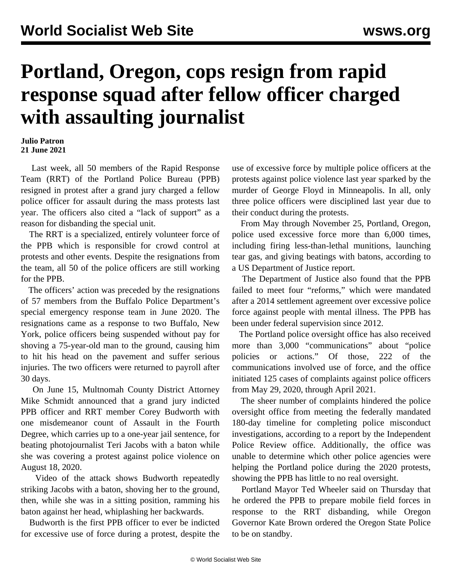## **Portland, Oregon, cops resign from rapid response squad after fellow officer charged with assaulting journalist**

**Julio Patron 21 June 2021**

 Last week, all 50 members of the Rapid Response Team (RRT) of the Portland Police Bureau (PPB) resigned in protest after a grand jury charged a fellow police officer for assault during the mass protests last year. The officers also cited a "lack of support" as a reason for disbanding the special unit.

 The RRT is a specialized, entirely volunteer force of the PPB which is responsible for crowd control at protests and other events. Despite the resignations from the team, all 50 of the police officers are still working for the PPB.

 The officers' action was preceded by the resignations of 57 members from the Buffalo Police Department's special emergency response team in June 2020. The resignations came as a response to two Buffalo, New York, police officers being suspended without pay for shoving a 75-year-old man to the ground, causing him to hit his head on the pavement and suffer serious injuries. The two officers were returned to payroll after 30 days.

 On June 15, Multnomah County District Attorney Mike Schmidt announced that a grand jury indicted PPB officer and RRT member Corey Budworth with one misdemeanor count of Assault in the Fourth Degree, which carries up to a one-year jail sentence, for beating photojournalist Teri Jacobs with a baton while she was covering a protest against police violence on August 18, 2020.

 Video of the attack shows Budworth repeatedly striking Jacobs with a baton, shoving her to the ground, then, while she was in a sitting position, ramming his baton against her head, whiplashing her backwards.

 Budworth is the first PPB officer to ever be indicted for excessive use of force during a protest, despite the use of excessive force by multiple police officers at the protests against police violence last year sparked by the murder of George Floyd in Minneapolis. In all, only three police officers were disciplined last year due to their conduct during the protests.

 From May through November 25, Portland, Oregon, police used excessive force more than 6,000 times, including firing less-than-lethal munitions, launching tear gas, and giving beatings with batons, according to a US Department of Justice report.

 The Department of Justice also found that the PPB failed to meet four "reforms," which were mandated after a 2014 settlement agreement over excessive police force against people with mental illness. The PPB has been under federal supervision since 2012.

 The Portland police oversight office has also received more than 3,000 "communications" about "police policies or actions." Of those, 222 of the communications involved use of force, and the office initiated 125 cases of complaints against police officers from May 29, 2020, through April 2021.

 The sheer number of complaints hindered the police oversight office from meeting the federally mandated 180-day timeline for completing police misconduct investigations, according to a report by the Independent Police Review office. Additionally, the office was unable to determine which other police agencies were helping the Portland police during the 2020 protests, showing the PPB has little to no real oversight.

 Portland Mayor Ted Wheeler said on Thursday that he ordered the PPB to prepare mobile field forces in response to the RRT disbanding, while Oregon Governor Kate Brown ordered the Oregon State Police to be on standby.